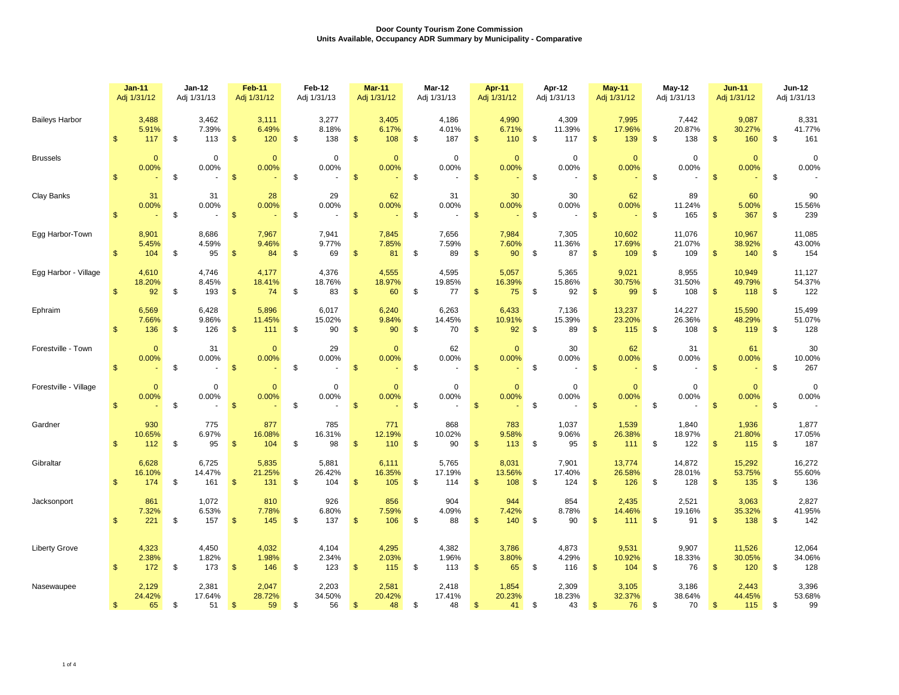|                       |                | <b>Jan-11</b><br>Adj 1/31/12 |    | Jan-12<br>Adj 1/31/13        |                         | Feb-11<br>Adj 1/31/12  | Feb-12<br>Adj 1/31/13 |                        | Mar-11<br>Adj 1/31/12 |                        | Mar-12<br>Adj 1/31/13 |                        | Apr-11<br>Adj 1/31/12 |                        | Apr-12<br>Adj 1/31/13 |                              | <b>May-11</b><br>Adj 1/31/12 |                         | May-12<br>Adj 1/31/13 |                         | <b>Jun-11</b><br>Adj 1/31/12 |                         | <b>Jun-12</b><br>Adj 1/31/13 |                                                  |
|-----------------------|----------------|------------------------------|----|------------------------------|-------------------------|------------------------|-----------------------|------------------------|-----------------------|------------------------|-----------------------|------------------------|-----------------------|------------------------|-----------------------|------------------------------|------------------------------|-------------------------|-----------------------|-------------------------|------------------------------|-------------------------|------------------------------|--------------------------------------------------|
| <b>Baileys Harbor</b> | $\mathfrak{s}$ | 3,488<br>5.91%<br>117        | \$ | 3,462<br>7.39%<br>113        | $\mathfrak{s}$          | 3,111<br>6.49%<br>120  | \$                    | 3,277<br>8.18%<br>138  | \$                    | 3,405<br>6.17%<br>108  | \$                    | 4,186<br>4.01%<br>187  | \$                    | 4,990<br>6.71%<br>110  | - \$                  | 4,309<br>11.39%<br>117       | \$                           | 7,995<br>17.96%<br>139  | \$                    | 7,442<br>20.87%<br>138  | $\mathfrak{s}$               | 9,087<br>30.27%<br>160  | \$                           | 8,331<br>41.77%<br>161                           |
| <b>Brussels</b>       | $\mathbf{s}$   | $\mathbf{0}$<br>0.00%        | \$ | $\mathbf 0$<br>0.00%         | $\mathbf{\$}$           | $\mathbf{0}$<br>0.00%  | \$                    | $\mathbf 0$<br>0.00%   | $\mathbf{\$}$         | $\mathbf{0}$<br>0.00%  | \$                    | $\Omega$<br>0.00%      | $\mathfrak{S}$        | $\mathbf{0}$<br>0.00%  | \$                    | $\mathbf 0$<br>0.00%         | $\mathfrak{s}$               | $\mathbf{0}$<br>0.00%   | \$                    | $\mathbf 0$<br>0.00%    | $\mathbf{\$}$                | $\mathbf{0}$<br>0.00%   | \$                           | $\mathbf 0$<br>0.00%                             |
| Clay Banks            | $\mathfrak{s}$ | 31<br>0.00%                  | \$ | 31<br>0.00%<br>$\sim$        | $\sqrt[6]{3}$           | 28<br>0.00%            | \$                    | 29<br>0.00%            | $\sqrt[6]{3}$         | 62<br>0.00%            | \$                    | 31<br>0.00%            | $\mathbf{\$}$         | 30<br>0.00%            | \$                    | 30<br>0.00%                  | $\mathbf{\$}$                | 62<br>0.00%             | \$                    | 89<br>11.24%<br>165     | $\mathfrak{s}$               | 60<br>5.00%<br>367      | \$                           | 90<br>15.56%<br>239                              |
| Egg Harbor-Town       | $\mathbb{S}$   | 8,901<br>5.45%<br>104        | \$ | 8,686<br>4.59%<br>95         | $\sqrt[6]{\frac{1}{2}}$ | 7,967<br>9.46%<br>84   | \$                    | 7,941<br>9.77%<br>69   | $\frac{3}{2}$         | 7,845<br>7.85%<br>81   | \$                    | 7,656<br>7.59%<br>89   | \$                    | 7,984<br>7.60%<br>90   | - \$                  | 7,305<br>11.36%<br>87        | $\mathsf{\$}$                | 10,602<br>17.69%<br>109 | \$                    | 11,076<br>21.07%<br>109 | $\mathfrak{s}$               | 10,967<br>38.92%<br>140 | \$                           | 11,085<br>43.00%<br>154                          |
| Egg Harbor - Village  | $\mathbf{s}$   | 4,610<br>18.20%<br>92        | \$ | 4,746<br>8.45%<br>193        | $\sqrt[6]{3}$           | 4,177<br>18.41%<br>74  | \$                    | 4,376<br>18.76%<br>83  | $\mathfrak{s}$        | 4,555<br>18.97%<br>60  | \$                    | 4,595<br>19.85%<br>77  | $\sqrt[6]{3}$         | 5,057<br>16.39%<br>75  | \$                    | 5,365<br>15.86%<br>92        | $\mathfrak{S}$               | 9,021<br>30.75%<br>99   | \$                    | 8,955<br>31.50%<br>108  | $\mathfrak{s}$               | 10,949<br>49.79%<br>118 | \$                           | 11,127<br>54.37%<br>122                          |
| Ephraim               | $\mathbb{S}$   | 6,569<br>7.66%<br>136        | \$ | 6,428<br>9.86%<br>126        | $\mathfrak{s}$          | 5,896<br>11.45%<br>111 | \$                    | 6,017<br>15.02%<br>90  | $\mathsf{\$}$         | 6,240<br>9.84%<br>90   | \$                    | 6,263<br>14.45%<br>70  | \$                    | 6,433<br>10.91%<br>92  | -\$                   | 7,136<br>15.39%<br>89        | $\mathfrak{S}$               | 13,237<br>23.20%<br>115 | \$                    | 14,227<br>26.36%<br>108 | $\mathbf{\$}$                | 15,590<br>48.29%<br>119 | \$                           | 15,499<br>51.07%<br>128                          |
| Forestville - Town    | $\mathfrak{s}$ | $\mathbf{0}$<br>0.00%        | \$ | 31<br>0.00%                  | $\mathfrak{s}$          | $\mathbf{0}$<br>0.00%  | \$                    | 29<br>0.00%            | $\mathfrak{s}$        | $\mathbf{0}$<br>0.00%  | \$                    | 62<br>0.00%            | $\mathbf{\$}$         | $\mathbf{0}$<br>0.00%  | \$                    | 30<br>0.00%                  | $\mathfrak{S}$               | 62<br>0.00%             | \$                    | 31<br>0.00%             | $\mathsf{\$}$                | 61<br>0.00%             | \$                           | 30<br>10.00%<br>267                              |
| Forestville - Village | $\mathbf{s}$   | $\mathbf{0}$<br>0.00%        | \$ | $\pmb{0}$<br>0.00%<br>$\sim$ | $\mathfrak{s}$          | $\mathbf{0}$<br>0.00%  | \$                    | $\mathbf 0$<br>0.00%   | $\mathbf{\$}$         | $\mathbf{0}$<br>0.00%  | \$                    | $\mathbf 0$<br>0.00%   | $\mathbf{\$}$         | $\mathbf{0}$<br>0.00%  | \$                    | $\pmb{0}$<br>0.00%<br>$\sim$ | $\mathfrak{S}$               | $\mathbf{0}$<br>0.00%   | \$                    | 0<br>0.00%              | $\mathfrak{s}$               | $\mathbf{0}$<br>0.00%   | \$                           | $\mathsf 0$<br>0.00%<br>$\overline{\phantom{a}}$ |
| Gardner               | $\mathbf{s}$   | 930<br>10.65%<br>112         | \$ | 775<br>6.97%<br>95           | $\mathbf{\$}$           | 877<br>16.08%<br>104   | \$                    | 785<br>16.31%<br>98    | $\mathsf{\$}$         | 771<br>12.19%<br>110   | \$                    | 868<br>10.02%<br>90    | $\mathfrak{s}$        | 783<br>9.58%<br>113    | - \$                  | 1,037<br>9.06%<br>95         | $\mathsf{\$}$                | 1,539<br>26.38%<br>111  | \$                    | 1,840<br>18.97%<br>122  | $\mathfrak{s}$               | 1,936<br>21.80%<br>115  | \$                           | 1,877<br>17.05%<br>187                           |
| Gibraltar             | $\mathfrak{s}$ | 6,628<br>16.10%<br>174       | \$ | 6,725<br>14.47%<br>161       | $\mathfrak{s}$          | 5,835<br>21.25%<br>131 | \$                    | 5,881<br>26.42%<br>104 | $\mathbf{\$}$         | 6,111<br>16.35%<br>105 | \$                    | 5,765<br>17.19%<br>114 | $\mathfrak{s}$        | 8,031<br>13.56%<br>108 | - \$                  | 7,901<br>17.40%<br>124       | \$                           | 13,774<br>26.58%<br>126 | \$                    | 14,872<br>28.01%<br>128 | \$                           | 15,292<br>53.75%<br>135 | \$                           | 16,272<br>55.60%<br>136                          |
| Jacksonport           | $\mathfrak{s}$ | 861<br>7.32%<br>221          | \$ | 1,072<br>6.53%<br>157        | $\mathfrak{s}$          | 810<br>7.78%<br>145    | \$                    | 926<br>6.80%<br>137    | \$                    | 856<br>7.59%<br>106    | \$                    | 904<br>4.09%<br>88     | \$                    | 944<br>7.42%<br>140    | -\$                   | 854<br>8.78%<br>90           | \$                           | 2,435<br>14.46%<br>111  | \$                    | 2,521<br>19.16%<br>91   | \$                           | 3,063<br>35.32%<br>138  | \$                           | 2,827<br>41.95%<br>142                           |
| <b>Liberty Grove</b>  | $\mathbb{S}$   | 4,323<br>2.38%<br>172        | \$ | 4,450<br>1.82%<br>173        | \$                      | 4,032<br>1.98%<br>146  | \$                    | 4,104<br>2.34%<br>123  | $\mathfrak{s}$        | 4,295<br>2.03%<br>115  | \$                    | 4,382<br>1.96%<br>113  | $\mathfrak{s}$        | 3,786<br>3.80%<br>65   | - \$                  | 4,873<br>4.29%<br>116        | $\mathbf{\$}$                | 9,531<br>10.92%<br>104  | \$                    | 9,907<br>18.33%<br>76   | $\mathfrak{s}$               | 11,526<br>30.05%<br>120 | \$                           | 12,064<br>34.06%<br>128                          |
| Nasewaupee            | $\mathfrak{S}$ | 2,129<br>24.42%<br>65        | \$ | 2,381<br>17.64%<br>51        | $\mathfrak{s}$          | 2,047<br>28.72%<br>59  | \$                    | 2,203<br>34.50%<br>56  | \$                    | 2,581<br>20.42%<br>48  | \$                    | 2,418<br>17.41%<br>48  | \$                    | 1,854<br>20.23%<br>41  | -\$                   | 2,309<br>18.23%<br>43        | \$                           | 3,105<br>32.37%<br>76   | \$                    | 3,186<br>38.64%<br>70   | $\mathfrak{s}$               | 2,443<br>44.45%<br>115  | \$                           | 3,396<br>53.68%<br>99                            |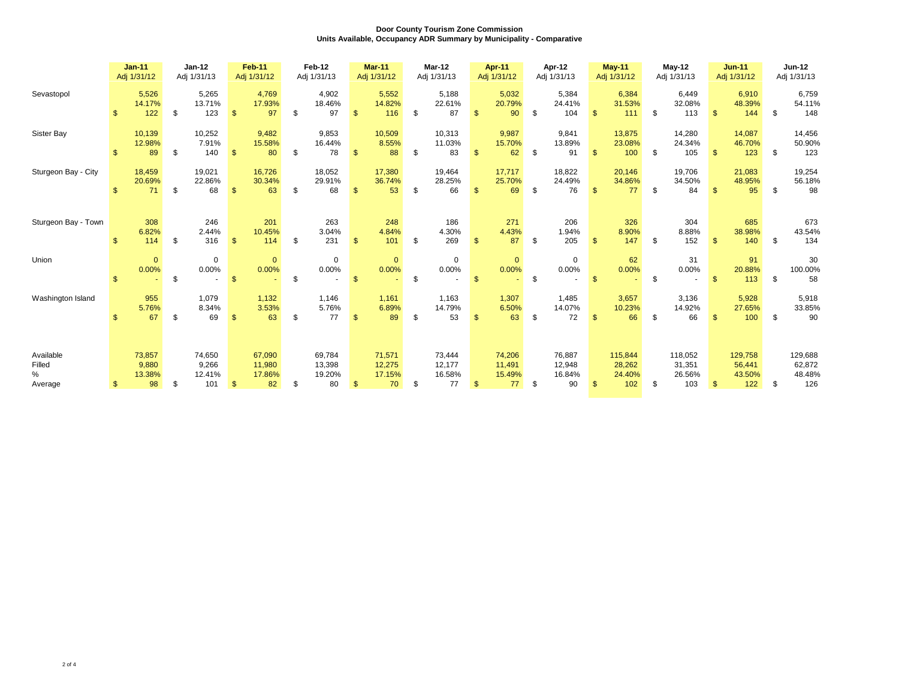|                                        |              | $Jan-11$<br>Adj 1/31/12         |      | Jan-12<br>Adj 1/31/13            |                | <b>Feb-11</b><br>Adj 1/31/12     |     | Feb-12<br>Adj 1/31/13            |                | <b>Mar-11</b><br>Adj 1/31/12     | Mar-12<br>Adj 1/31/13                  |               | Apr-11<br>Adj 1/31/12            |      | Apr-12<br>Adj 1/31/13            |                | <b>May-11</b><br>Adj 1/31/12       | $May-12$<br>Adj 1/31/13                  |                | <b>Jun-11</b><br>Adj 1/31/12       | <b>Jun-12</b><br>Adj 1/31/13             |
|----------------------------------------|--------------|---------------------------------|------|----------------------------------|----------------|----------------------------------|-----|----------------------------------|----------------|----------------------------------|----------------------------------------|---------------|----------------------------------|------|----------------------------------|----------------|------------------------------------|------------------------------------------|----------------|------------------------------------|------------------------------------------|
| Sevastopol                             | $\mathbf{s}$ | 5,526<br>14.17%<br>122          | - \$ | 5,265<br>13.71%<br>123           | $\mathbf{\$}$  | 4,769<br>17.93%<br>97            | \$. | 4,902<br>18.46%<br>97            | $\mathfrak{s}$ | 5,552<br>14.82%<br>116           | \$<br>5,188<br>22.61%<br>87            |               | 5,032<br>20.79%<br>90            | -\$  | 5,384<br>24.41%<br>104           | $\mathfrak{s}$ | 6,384<br>31.53%<br>111             | \$<br>6.449<br>32.08%<br>113             | $\mathbf{\$}$  | 6,910<br>48.39%<br>144             | \$<br>6,759<br>54.11%<br>148             |
| Sister Bay                             | \$.          | 10,139<br>12.98%<br>89          | \$   | 10,252<br>7.91%<br>140           | $\mathbb{S}$   | 9,482<br>15.58%<br>80            | \$  | 9,853<br>16.44%<br>78            | $\mathbf{s}$   | 10,509<br>8.55%<br>88            | \$<br>10,313<br>11.03%<br>83           | $\mathbf{\$}$ | 9,987<br>15.70%<br>62            | \$   | 9,841<br>13.89%<br>91            | $\mathbb{S}$   | 13,875<br>23.08%<br>100            | \$<br>14,280<br>24.34%<br>105            | $\mathbf{s}$   | 14,087<br>46.70%<br>123            | \$<br>14,456<br>50.90%<br>123            |
| Sturgeon Bay - City                    | \$.          | 18,459<br>20.69%<br>71          | \$   | 19,021<br>22.86%<br>68           | \$             | 16,726<br>30.34%<br>63           | \$  | 18,052<br>29.91%<br>68           | $\mathcal{S}$  | 17,380<br>36.74%<br>53           | \$<br>19,464<br>28.25%<br>66           |               | 17,717<br>25.70%<br>69           | \$.  | 18,822<br>24.49%<br>76           | \$.            | 20,146<br>34.86%<br>77             | \$<br>19,706<br>34.50%<br>84             | $\mathfrak{R}$ | 21,083<br>48.95%<br>95             | \$<br>19,254<br>56.18%<br>98             |
| Sturgeon Bay - Town                    | £.           | 308<br>6.82%<br>114             | - \$ | 246<br>2.44%<br>316              | $\mathbb{S}$   | 201<br>10.45%<br>114             | \$  | 263<br>3.04%<br>231              | -\$            | 248<br>4.84%<br>101              | \$<br>186<br>4.30%<br>269              | $\mathbf{\$}$ | 271<br>4.43%<br>87               | - \$ | 206<br>1.94%<br>205              | $\mathbb{S}$   | 326<br>8.90%<br>147                | \$<br>304<br>8.88%<br>152                | $\mathbf{\$}$  | 685<br>38.98%<br>140               | \$<br>673<br>43.54%<br>134               |
| Union                                  | $\mathbf{s}$ | $\mathbf{0}$<br>0.00%           | \$   | $\mathbf 0$<br>0.00%             | $\mathbb{S}$   | $\mathbf{0}$<br>0.00%            | \$  | 0<br>0.00%                       | $\mathbf{s}$   | $\mathbf{0}$<br>0.00%            | \$<br>$\mathbf 0$<br>0.00%             | $\mathbf{\$}$ | $\mathbf{0}$<br>0.00%            | \$   | $\mathbf 0$<br>0.00%             | $\mathbb{S}$   | 62<br>0.00%                        | \$<br>31<br>0.00%<br>×.                  | $\mathbf{\$}$  | 91<br>20.88%<br>113                | \$<br>30<br>100.00%<br>58                |
| Washington Island                      |              | 955<br>5.76%<br>67              | \$   | 1,079<br>8.34%<br>69             | \$             | 1,132<br>3.53%<br>63             | \$  | 1,146<br>5.76%<br>77             | $\mathbb{S}$   | 1,161<br>6.89%<br>89             | \$<br>1,163<br>14.79%<br>53            |               | 1,307<br>6.50%<br>63             | \$   | 1,485<br>14.07%<br>72            | $\mathfrak{s}$ | 3,657<br>10.23%<br>66              | \$<br>3,136<br>14.92%<br>66              | -\$            | 5,928<br>27.65%<br>100             | \$<br>5,918<br>33.85%<br>90              |
| Available<br>Filled<br>$\%$<br>Average | S            | 73,857<br>9,880<br>13.38%<br>98 | \$   | 74,650<br>9,266<br>12.41%<br>101 | $\mathfrak{s}$ | 67,090<br>11,980<br>17.86%<br>82 | \$  | 69,784<br>13,398<br>19.20%<br>80 | $\mathfrak{s}$ | 71,571<br>12,275<br>17.15%<br>70 | \$<br>73,444<br>12,177<br>16.58%<br>77 | $\mathbf{\$}$ | 74,206<br>11,491<br>15.49%<br>77 | - \$ | 76,887<br>12,948<br>16.84%<br>90 | $\mathfrak{s}$ | 115,844<br>28,262<br>24.40%<br>102 | \$<br>118,052<br>31,351<br>26.56%<br>103 | \$             | 129,758<br>56,441<br>43.50%<br>122 | \$<br>129,688<br>62,872<br>48.48%<br>126 |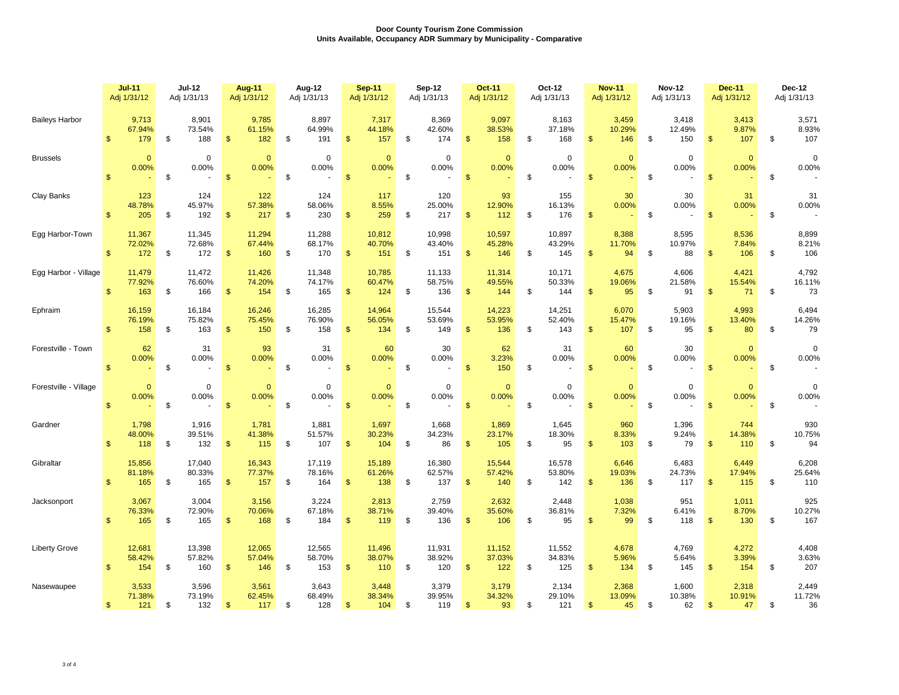|                       |                | $Jul-11$<br><b>Jul-12</b><br>Adj 1/31/13<br>Adj 1/31/12 |    |                         | Aug-11<br>Adj 1/31/12 |                         | Aug-12<br>Adj 1/31/13 |                         | <b>Sep-11</b><br>Adj 1/31/12 |                         | Sep-12<br>Adj 1/31/13 |                         | <b>Oct-11</b><br>Adj 1/31/12 |                         | Oct-12<br>Adj 1/31/13 | <b>Nov-11</b><br>Adj 1/31/12 |                | <b>Nov-12</b><br>Adj 1/31/13 |    | <b>Dec-11</b><br>Adj 1/31/12  |                | Dec-12<br>Adj 1/31/13  |    |                        |
|-----------------------|----------------|---------------------------------------------------------|----|-------------------------|-----------------------|-------------------------|-----------------------|-------------------------|------------------------------|-------------------------|-----------------------|-------------------------|------------------------------|-------------------------|-----------------------|------------------------------|----------------|------------------------------|----|-------------------------------|----------------|------------------------|----|------------------------|
| <b>Baileys Harbor</b> | $\mathbf{\$}$  | 9,713<br>67.94%<br>179                                  | \$ | 8,901<br>73.54%<br>188  | $\mathfrak{s}$        | 9,785<br>61.15%<br>182  | -\$                   | 8,897<br>64.99%<br>191  | $\mathfrak{S}$               | 7,317<br>44.18%<br>157  | \$                    | 8,369<br>42.60%<br>174  | $\mathsf{\$}$                | 9,097<br>38.53%<br>158  | \$                    | 8,163<br>37.18%<br>168       | $\mathsf{\$}$  | 3,459<br>10.29%<br>146       | \$ | 3,418<br>12.49%<br>150        | \$.            | 3,413<br>9.87%<br>107  | \$ | 3,571<br>8.93%<br>107  |
| <b>Brussels</b>       | $\mathfrak{s}$ | $\mathbf{0}$<br>0.00%                                   | \$ | $\mathbf 0$<br>0.00%    | $\mathfrak{s}$        | $\mathbf 0$<br>0.00%    | \$                    | $\mathbf 0$<br>0.00%    | $\mathbf{\$}$                | $\overline{0}$<br>0.00% | \$                    | 0<br>0.00%              | $\mathsf{\$}$                | $\mathbf{0}$<br>0.00%   | \$                    | $\mathbf 0$<br>0.00%         | $\mathfrak{s}$ | $\mathbf{0}$<br>0.00%        | \$ | $\mathbf 0$<br>0.00%          | $\mathsf{\$}$  | $\mathbf{0}$<br>0.00%  | \$ | $\mathsf 0$<br>0.00%   |
| Clay Banks            | $\mathbf{s}$   | 123<br>48.78%<br>205                                    | \$ | 124<br>45.97%<br>192    | $\mathfrak{s}$        | 122<br>57.38%<br>217    | \$                    | 124<br>58.06%<br>230    | $\mathfrak{s}$               | 117<br>8.55%<br>259     | \$                    | 120<br>25.00%<br>217    | $\mathsf{\$}$                | 93<br>12.90%<br>112     | \$                    | 155<br>16.13%<br>176         | $\mathsf{\$}$  | 30<br>0.00%                  | \$ | 30<br>0.00%<br>$\blacksquare$ | $\mathbf{\$}$  | 31<br>0.00%            | \$ | 31<br>0.00%            |
| Egg Harbor-Town       | $\mathbb{S}$   | 11,367<br>72.02%<br>172                                 | \$ | 11,345<br>72.68%<br>172 | $\mathfrak{s}$        | 11,294<br>67.44%<br>160 | \$                    | 11,288<br>68.17%<br>170 | $\mathbb{S}$                 | 10,812<br>40.70%<br>151 | \$                    | 10,998<br>43.40%<br>151 | $\mathfrak{s}$               | 10,597<br>45.28%<br>146 | \$                    | 10,897<br>43.29%<br>145      | $\mathfrak{s}$ | 8,388<br>11.70%<br>94        | \$ | 8,595<br>10.97%<br>88         | \$             | 8,536<br>7.84%<br>106  | \$ | 8,899<br>8.21%<br>106  |
| Egg Harbor - Village  | $\mathbf{s}$   | 11,479<br>77.92%<br>163                                 | \$ | 11,472<br>76.60%<br>166 | $\mathfrak{s}$        | 11,426<br>74.20%<br>154 | \$                    | 11,348<br>74.17%<br>165 | $\mathfrak{S}$               | 10,785<br>60.47%<br>124 | \$                    | 11,133<br>58.75%<br>136 | $\mathsf{\$}$                | 11,314<br>49.55%<br>144 | \$                    | 10,171<br>50.33%<br>144      | $\mathfrak{S}$ | 4,675<br>19.06%<br>95        | \$ | 4,606<br>21.58%<br>91         | $\mathfrak{s}$ | 4,421<br>15.54%<br>71  | \$ | 4,792<br>16.11%<br>73  |
| Ephraim               | $\mathbf{s}$   | 16,159<br>76.19%<br>158                                 | \$ | 16,184<br>75.82%<br>163 | $\mathfrak{s}$        | 16,246<br>75.45%<br>150 | \$                    | 16,285<br>76.90%<br>158 | $\mathbb{S}$                 | 14,964<br>56.05%<br>134 | \$                    | 15,544<br>53.69%<br>149 | $\mathsf{\$}$                | 14,223<br>53.95%<br>136 | \$                    | 14,251<br>52.40%<br>143      | $\mathfrak{s}$ | 6,070<br>15.47%<br>107       | \$ | 5,903<br>19.16%<br>95         | $\mathfrak{s}$ | 4,993<br>13.40%<br>80  | \$ | 6,494<br>14.26%<br>79  |
| Forestville - Town    | $\mathfrak{s}$ | 62<br>0.00%                                             | \$ | 31<br>0.00%             | $\mathfrak{S}$        | 93<br>0.00%             | \$                    | 31<br>0.00%             | $\mathbf{\$}$                | 60<br>0.00%             | \$                    | 30<br>0.00%             | $\sqrt[6]{\frac{1}{2}}$      | 62<br>3.23%<br>150      | \$                    | 31<br>0.00%                  | $\mathfrak{s}$ | 60<br>0.00%                  | \$ | 30<br>0.00%                   | $\mathsf{\$}$  | $\mathbf{0}$<br>0.00%  | \$ | $\mathbf 0$<br>0.00%   |
| Forestville - Village | \$             | $\mathbf{0}$<br>0.00%                                   | \$ | $\mathbf 0$<br>0.00%    | $\mathfrak{s}$        | $\mathbf{0}$<br>0.00%   | \$                    | $\mathbf 0$<br>0.00%    | $\mathfrak{s}$               | $\mathbf{0}$<br>0.00%   | \$                    | $\mathbf 0$<br>0.00%    | $\mathfrak{s}$               | $\mathbf{0}$<br>0.00%   | \$                    | $\mathbf 0$<br>0.00%         | $\mathbf{\$}$  | $\mathbf{0}$<br>0.00%        | \$ | $\mathbf 0$<br>0.00%          | $\mathfrak{s}$ | $\mathbf{0}$<br>0.00%  | \$ | $\mathbf 0$<br>0.00%   |
| Gardner               | $\mathsf{\$}$  | 1,798<br>48.00%<br>118                                  | \$ | 1,916<br>39.51%<br>132  | $\frac{3}{2}$         | 1,781<br>41.38%<br>115  | \$                    | 1,881<br>51.57%<br>107  | $\sqrt{2}$                   | 1,697<br>30.23%<br>104  | \$                    | 1,668<br>34.23%<br>86   | $\sqrt[6]{\frac{1}{2}}$      | 1,869<br>23.17%<br>105  | \$                    | 1,645<br>18.30%<br>95        | $\mathsf{\$}$  | 960<br>8.33%<br>103          | \$ | 1,396<br>9.24%<br>79          | $\mathfrak{s}$ | 744<br>14.38%<br>110   | \$ | 930<br>10.75%<br>94    |
| Gibraltar             | $\mathbf{s}$   | 15,856<br>81.18%<br>165                                 | \$ | 17,040<br>80.33%<br>165 | $\mathbf{\$}$         | 16,343<br>77.37%<br>157 | \$                    | 17,119<br>78.16%<br>164 | $\mathfrak{S}$               | 15,189<br>61.26%<br>138 | \$                    | 16,380<br>62.57%<br>137 | $\mathfrak{s}$               | 15,544<br>57.42%<br>140 | \$                    | 16,578<br>53.80%<br>142      | $\mathfrak{S}$ | 6,646<br>19.03%<br>136       | \$ | 6,483<br>24.73%<br>117        | $\mathfrak{S}$ | 6,449<br>17.94%<br>115 | \$ | 6,208<br>25.64%<br>110 |
| Jacksonport           | $\mathsf{\$}$  | 3,067<br>76.33%<br>165                                  | \$ | 3,004<br>72.90%<br>165  | $\mathsf{\$}$         | 3,156<br>70.06%<br>168  | \$                    | 3,224<br>67.18%<br>184  | $\frac{1}{2}$                | 2,813<br>38.71%<br>119  | \$                    | 2,759<br>39.40%<br>136  | $\mathfrak{s}$               | 2,632<br>35.60%<br>106  | \$                    | 2,448<br>36.81%<br>95        | $\mathbf{\$}$  | 1,038<br>7.32%<br>99         | \$ | 951<br>6.41%<br>118           | \$             | 1,011<br>8.70%<br>130  | \$ | 925<br>10.27%<br>167   |
| <b>Liberty Grove</b>  | $\mathbb{S}$   | 12,681<br>58.42%<br>154                                 | \$ | 13,398<br>57.82%<br>160 | $\mathbf{\$}$         | 12,065<br>57.04%<br>146 | \$                    | 12,565<br>58.70%<br>153 | $\mathbf{\$}$                | 11,496<br>38.07%<br>110 | \$                    | 11,931<br>38.92%<br>120 | $\mathfrak{s}$               | 11,152<br>37.03%<br>122 | \$                    | 11,552<br>34.83%<br>125      | $\mathfrak{s}$ | 4,678<br>5.96%<br>134        | \$ | 4,769<br>5.64%<br>145         | $\mathfrak{s}$ | 4,272<br>3.39%<br>154  | \$ | 4,408<br>3.63%<br>207  |
| Nasewaupee            | $\mathfrak{s}$ | 3,533<br>71.38%<br>121                                  | \$ | 3,596<br>73.19%<br>132  | \$                    | 3,561<br>62.45%<br>117  | -\$                   | 3,643<br>68.49%<br>128  | $\mathbb{S}$                 | 3,448<br>38.34%<br>104  | \$                    | 3,379<br>39.95%<br>119  | $\mathfrak{s}$               | 3,179<br>34.32%<br>93   | \$                    | 2,134<br>29.10%<br>121       | -\$            | 2,368<br>13.09%<br>45        | \$ | 1,600<br>10.38%<br>62         | $\mathfrak{s}$ | 2,318<br>10.91%<br>47  | \$ | 2,449<br>11.72%<br>36  |